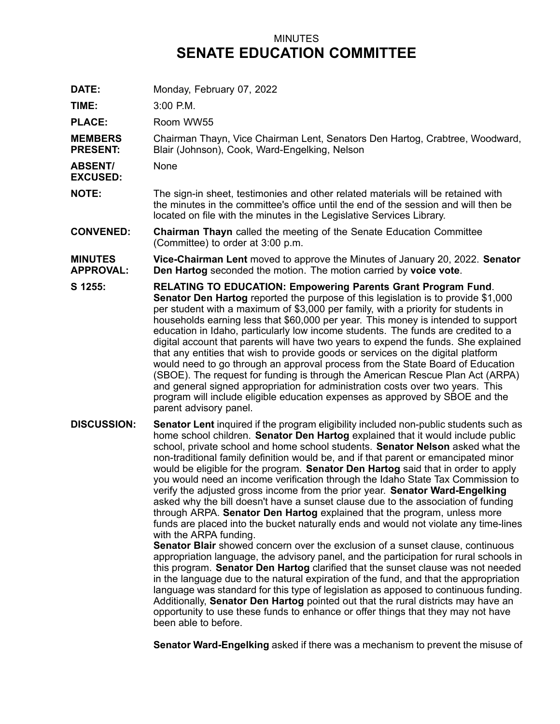## MINUTES **SENATE EDUCATION COMMITTEE**

**DATE:** Monday, February 07, 2022

**TIME:** 3:00 P.M.

PLACE: Room WW55

**MEMBERS PRESENT:** Chairman Thayn, Vice Chairman Lent, Senators Den Hartog, Crabtree, Woodward, Blair (Johnson), Cook, Ward-Engelking, Nelson

**ABSENT/** None

**EXCUSED:**

**NOTE:** The sign-in sheet, testimonies and other related materials will be retained with the minutes in the committee's office until the end of the session and will then be located on file with the minutes in the Legislative Services Library.

**CONVENED: Chairman Thayn** called the meeting of the Senate Education Committee (Committee) to order at 3:00 p.m.

## **MINUTES APPROVAL: Vice-Chairman Lent** moved to approve the Minutes of January 20, 2022. **Senator Den Hartog** seconded the motion. The motion carried by **voice vote**.

- **S 1255: RELATING TO EDUCATION: Empowering Parents Grant Program Fund**. **Senator Den Hartog** reported the purpose of this legislation is to provide \$1,000 per student with <sup>a</sup> maximum of \$3,000 per family, with <sup>a</sup> priority for students in households earning less that \$60,000 per year. This money is intended to support education in Idaho, particularly low income students. The funds are credited to <sup>a</sup> digital account that parents will have two years to expend the funds. She explained that any entities that wish to provide goods or services on the digital platform would need to go through an approval process from the State Board of Education (SBOE). The request for funding is through the American Rescue Plan Act (ARPA) and general signed appropriation for administration costs over two years. This program will include eligible education expenses as approved by SBOE and the parent advisory panel.
- **DISCUSSION: Senator Lent** inquired if the program eligibility included non-public students such as home school children. **Senator Den Hartog** explained that it would include public school, private school and home school students. **Senator Nelson** asked what the non-traditional family definition would be, and if that parent or emancipated minor would be eligible for the program. **Senator Den Hartog** said that in order to apply you would need an income verification through the Idaho State Tax Commission to verify the adjusted gross income from the prior year. **Senator Ward-Engelking** asked why the bill doesn't have <sup>a</sup> sunset clause due to the association of funding through ARPA. **Senator Den Hartog** explained that the program, unless more funds are placed into the bucket naturally ends and would not violate any time-lines with the ARPA funding.

**Senator Blair** showed concern over the exclusion of <sup>a</sup> sunset clause, continuous appropriation language, the advisory panel, and the participation for rural schools in this program. **Senator Den Hartog** clarified that the sunset clause was not needed in the language due to the natural expiration of the fund, and that the appropriation language was standard for this type of legislation as apposed to continuous funding. Additionally, **Senator Den Hartog** pointed out that the rural districts may have an opportunity to use these funds to enhance or offer things that they may not have been able to before.

**Senator Ward-Engelking** asked if there was <sup>a</sup> mechanism to prevent the misuse of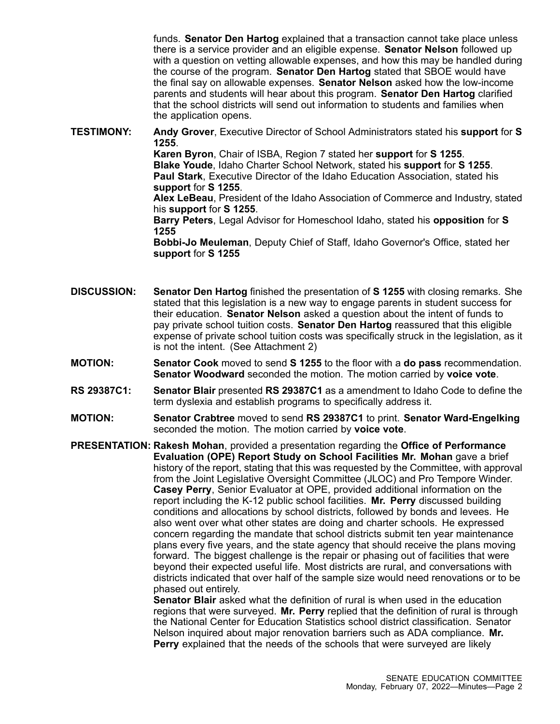funds. **Senator Den Hartog** explained that <sup>a</sup> transaction cannot take place unless there is <sup>a</sup> service provider and an eligible expense. **Senator Nelson** followed up with <sup>a</sup> question on vetting allowable expenses, and how this may be handled during the course of the program. **Senator Den Hartog** stated that SBOE would have the final say on allowable expenses. **Senator Nelson** asked how the low-income parents and students will hear about this program. **Senator Den Hartog** clarified that the school districts will send out information to students and families when the application opens.

**TESTIMONY: Andy Grover**, Executive Director of School Administrators stated his **support** for **S 1255**. **Karen Byron**, Chair of ISBA, Region 7 stated her **support** for **S 1255**. **Blake Youde**, Idaho Charter School Network, stated his **support** for **S 1255**. **Paul Stark**, Executive Director of the Idaho Education Association, stated his **support** for **S 1255**. **Alex LeBeau**, President of the Idaho Association of Commerce and Industry, stated his **support** for **S 1255**. **Barry Peters**, Legal Advisor for Homeschool Idaho, stated his **opposition** for **S 1255 Bobbi-Jo Meuleman**, Deputy Chief of Staff, Idaho Governor's Office, stated her **support** for **S 1255**

- **DISCUSSION: Senator Den Hartog** finished the presentation of **S 1255** with closing remarks. She stated that this legislation is <sup>a</sup> new way to engage parents in student success for their education. **Senator Nelson** asked <sup>a</sup> question about the intent of funds to pay private school tuition costs. **Senator Den Hartog** reassured that this eligible expense of private school tuition costs was specifically struck in the legislation, as it is not the intent. (See Attachment 2)
- **MOTION: Senator Cook** moved to send **S 1255** to the floor with <sup>a</sup> **do pass** recommendation. **Senator Woodward** seconded the motion. The motion carried by **voice vote**.
- **RS 29387C1: Senator Blair** presented **RS 29387C1** as <sup>a</sup> amendment to Idaho Code to define the term dyslexia and establish programs to specifically address it.
- **MOTION: Senator Crabtree** moved to send **RS 29387C1** to print. **Senator Ward-Engelking** seconded the motion. The motion carried by **voice vote**.

**PRESENTATION: Rakesh Mohan**, provided <sup>a</sup> presentation regarding the **Office of Performance Evaluation (OPE) Report Study on School Facilities Mr. Mohan** gave <sup>a</sup> brief history of the report, stating that this was requested by the Committee, with approval from the Joint Legislative Oversight Committee (JLOC) and Pro Tempore Winder. **Casey Perry**, Senior Evaluator at OPE, provided additional information on the report including the K-12 public school facilities. **Mr. Perry** discussed building conditions and allocations by school districts, followed by bonds and levees. He also went over what other states are doing and charter schools. He expressed concern regarding the mandate that school districts submit ten year maintenance plans every five years, and the state agency that should receive the plans moving forward. The biggest challenge is the repair or phasing out of facilities that were beyond their expected useful life. Most districts are rural, and conversations with districts indicated that over half of the sample size would need renovations or to be phased out entirely.

**Senator Blair** asked what the definition of rural is when used in the education regions that were surveyed. **Mr. Perry** replied that the definition of rural is through the National Center for Education Statistics school district classification. Senator Nelson inquired about major renovation barriers such as ADA compliance. **Mr. Perry** explained that the needs of the schools that were surveyed are likely